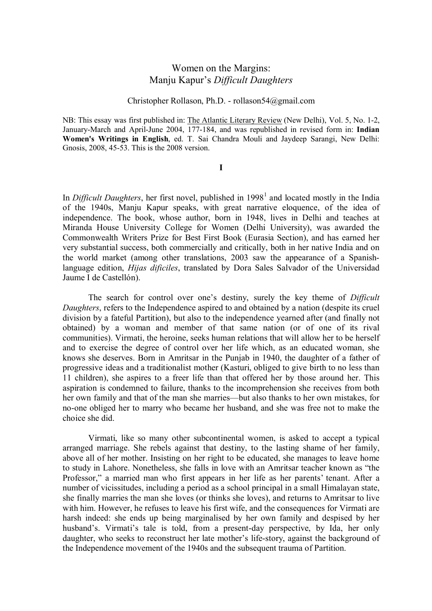## Women on the Margins: Manju Kapur's *Difficult Daughters*

## Christopher Rollason, Ph.D. - rollason54@gmail.com

NB: This essay was first published in: The Atlantic Literary Review (New Delhi), Vol. 5, No. 1-2, January-March and April-June 2004, 177-184, and was republished in revised form in: **Indian Women's Writings in English**, ed. T. Sai Chandra Mouli and Jaydeep Sarangi, New Delhi: Gnosis, 2008, 45-53. This is the 2008 version.

**I**

In *Difficult Daughters*, her first novel, published in [1](#page-5-0)998<sup>1</sup> and located mostly in the India of the 1940s, Manju Kapur speaks, with great narrative eloquence, of the idea of independence. The book, whose author, born in 1948, lives in Delhi and teaches at Miranda House University College for Women (Delhi University), was awarded the Commonwealth Writers Prize for Best First Book (Eurasia Section), and has earned her very substantial success, both commercially and critically, both in her native India and on the world market (among other translations, 2003 saw the appearance of a Spanishlanguage edition, *Hijas dificiles*, translated by Dora Sales Salvador of the Universidad Jaume I de Castellón).

The search for control over one's destiny, surely the key theme of *Difficult Daughters*, refers to the Independence aspired to and obtained by a nation (despite its cruel division by a fateful Partition), but also to the independence yearned after (and finally not obtained) by a woman and member of that same nation (or of one of its rival communities). Virmati, the heroine, seeks human relations that will allow her to be herself and to exercise the degree of control over her life which, as an educated woman, she knows she deserves. Born in Amritsar in the Punjab in 1940, the daughter of a father of progressive ideas and a traditionalist mother (Kasturi, obliged to give birth to no less than 11 children), she aspires to a freer life than that offered her by those around her. This aspiration is condemned to failure, thanks to the incomprehension she receives from both her own family and that of the man she marries—but also thanks to her own mistakes, for no-one obliged her to marry who became her husband, and she was free not to make the choice she did.

Virmati, like so many other subcontinental women, is asked to accept a typical arranged marriage. She rebels against that destiny, to the lasting shame of her family, above all of her mother. Insisting on her right to be educated, she manages to leave home to study in Lahore. Nonetheless, she falls in love with an Amritsar teacher known as "the Professor," a married man who first appears in her life as her parents' tenant. After a number of vicissitudes, including a period as a school principal in a small Himalayan state, she finally marries the man she loves (or thinks she loves), and returns to Amritsar to live with him. However, he refuses to leave his first wife, and the consequences for Virmati are harsh indeed: she ends up being marginalised by her own family and despised by her husband's. Virmati's tale is told, from a present-day perspective, by Ida, her only daughter, who seeks to reconstruct her late mother's life-story, against the background of the Independence movement of the 1940s and the subsequent trauma of Partition.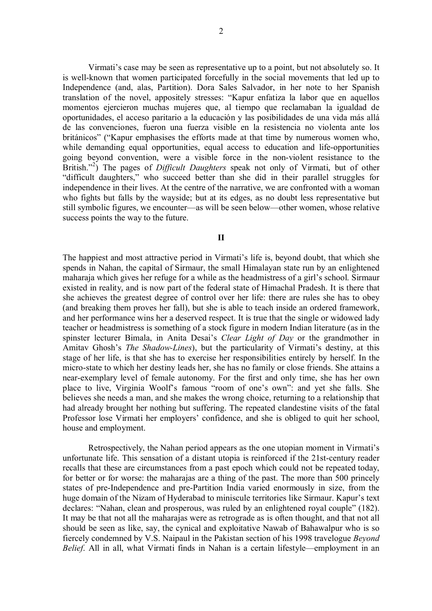Virmati's case may be seen as representative up to a point, but not absolutely so. It is well-known that women participated forcefully in the social movements that led up to Independence (and, alas, Partition). Dora Sales Salvador, in her note to her Spanish translation of the novel, appositely stresses: "Kapur enfatiza la labor que en aquellos momentos ejercieron muchas mujeres que, al tiempo que reclamaban la igualdad de oportunidades, el acceso paritario a la educación y las posibilidades de una vida más allá de las convenciones, fueron una fuerza visible en la resistencia no violenta ante los británicos" ("Kapur emphasises the efforts made at that time by numerous women who, while demanding equal opportunities, equal access to education and life-opportunities going beyond convention, were a visible force in the non-violent resistance to the British."<sup>[2](#page-5-1)</sup>) The pages of *Difficult Daughters* speak not only of Virmati, but of other "difficult daughters," who succeed better than she did in their parallel struggles for independence in their lives. At the centre of the narrative, we are confronted with a woman who fights but falls by the wayside; but at its edges, as no doubt less representative but still symbolic figures, we encounter—as will be seen below—other women, whose relative success points the way to the future.

**II**

The happiest and most attractive period in Virmati's life is, beyond doubt, that which she spends in Nahan, the capital of Sirmaur, the small Himalayan state run by an enlightened maharaja which gives her refuge for a while as the headmistress of a girl's school. Sirmaur existed in reality, and is now part of the federal state of Himachal Pradesh. It is there that she achieves the greatest degree of control over her life: there are rules she has to obey (and breaking them proves her fall), but she is able to teach inside an ordered framework, and her performance wins her a deserved respect. It is true that the single or widowed lady teacher or headmistress is something of a stock figure in modern Indian literature (as in the spinster lecturer Bimala, in Anita Desai's *Clear Light of Day* or the grandmother in Amitav Ghosh's *The Shadow-Lines*), but the particularity of Virmati's destiny, at this stage of her life, is that she has to exercise her responsibilities entirely by herself. In the micro-state to which her destiny leads her, she has no family or close friends. She attains a near-exemplary level of female autonomy. For the first and only time, she has her own place to live, Virginia Woolf's famous "room of one's own": and yet she falls. She believes she needs a man, and she makes the wrong choice, returning to a relationship that had already brought her nothing but suffering. The repeated clandestine visits of the fatal Professor lose Virmati her employers' confidence, and she is obliged to quit her school, house and employment.

Retrospectively, the Nahan period appears as the one utopian moment in Virmati's unfortunate life. This sensation of a distant utopia is reinforced if the 21st-century reader recalls that these are circumstances from a past epoch which could not be repeated today, for better or for worse: the maharajas are a thing of the past. The more than 500 princely states of pre-Independence and pre-Partition India varied enormously in size, from the huge domain of the Nizam of Hyderabad to miniscule territories like Sirmaur. Kapur's text declares: "Nahan, clean and prosperous, was ruled by an enlightened royal couple" (182). It may be that not all the maharajas were as retrograde as is often thought, and that not all should be seen as like, say, the cynical and exploitative Nawab of Bahawalpur who is so fiercely condemned by V.S. Naipaul in the Pakistan section of his 1998 travelogue *Beyond Belief*. All in all, what Virmati finds in Nahan is a certain lifestyle—employment in an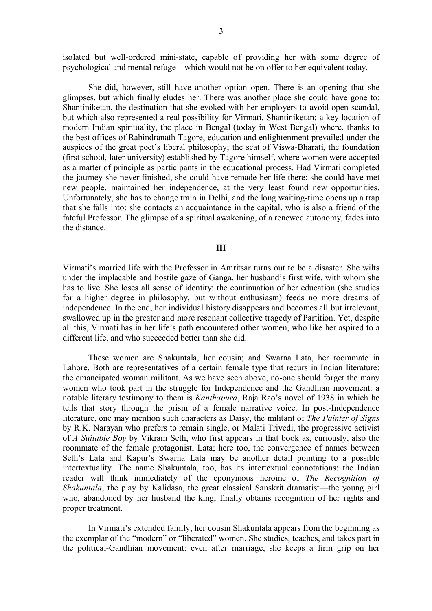isolated but well-ordered mini-state, capable of providing her with some degree of psychological and mental refuge—which would not be on offer to her equivalent today.

She did, however, still have another option open. There is an opening that she glimpses, but which finally eludes her. There was another place she could have gone to: Shantiniketan, the destination that she evoked with her employers to avoid open scandal, but which also represented a real possibility for Virmati. Shantiniketan: a key location of modern Indian spirituality, the place in Bengal (today in West Bengal) where, thanks to the best offices of Rabindranath Tagore, education and enlightenment prevailed under the auspices of the great poet's liberal philosophy; the seat of Viswa-Bharati, the foundation (first school, later university) established by Tagore himself, where women were accepted as a matter of principle as participants in the educational process. Had Virmati completed the journey she never finished, she could have remade her life there: she could have met new people, maintained her independence, at the very least found new opportunities. Unfortunately, she has to change train in Delhi, and the long waiting-time opens up a trap that she falls into: she contacts an acquaintance in the capital, who is also a friend of the fateful Professor. The glimpse of a spiritual awakening, of a renewed autonomy, fades into the distance.

## **III**

Virmati's married life with the Professor in Amritsar turns out to be a disaster. She wilts under the implacable and hostile gaze of Ganga, her husband's first wife, with whom she has to live. She loses all sense of identity: the continuation of her education (she studies for a higher degree in philosophy, but without enthusiasm) feeds no more dreams of independence. In the end, her individual history disappears and becomes all but irrelevant, swallowed up in the greater and more resonant collective tragedy of Partition. Yet, despite all this, Virmati has in her life's path encountered other women, who like her aspired to a different life, and who succeeded better than she did.

These women are Shakuntala, her cousin; and Swarna Lata, her roommate in Lahore. Both are representatives of a certain female type that recurs in Indian literature: the emancipated woman militant. As we have seen above, no-one should forget the many women who took part in the struggle for Independence and the Gandhian movement: a notable literary testimony to them is *Kanthapura*, Raja Rao's novel of 1938 in which he tells that story through the prism of a female narrative voice. In post-Independence literature, one may mention such characters as Daisy, the militant of *The Painter of Signs* by R.K. Narayan who prefers to remain single, or Malati Trivedi, the progressive activist of *A Suitable Boy* by Vikram Seth, who first appears in that book as, curiously, also the roommate of the female protagonist, Lata; here too, the convergence of names between Seth's Lata and Kapur's Swarna Lata may be another detail pointing to a possible intertextuality. The name Shakuntala, too, has its intertextual connotations: the Indian reader will think immediately of the eponymous heroine of *The Recognition of Shakuntala*, the play by Kalidasa, the great classical Sanskrit dramatist—the young girl who, abandoned by her husband the king, finally obtains recognition of her rights and proper treatment.

In Virmati's extended family, her cousin Shakuntala appears from the beginning as the exemplar of the "modern" or "liberated" women. She studies, teaches, and takes part in the political-Gandhian movement: even after marriage, she keeps a firm grip on her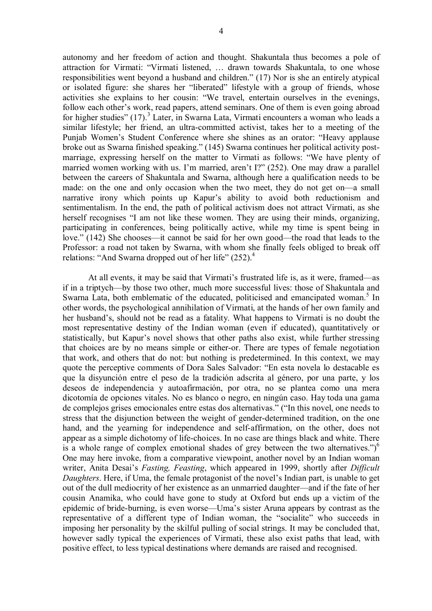autonomy and her freedom of action and thought. Shakuntala thus becomes a pole of attraction for Virmati: "Virmati listened, … drawn towards Shakuntala, to one whose responsibilities went beyond a husband and children." (17) Nor is she an entirely atypical or isolated figure: she shares her "liberated" lifestyle with a group of friends, whose activities she explains to her cousin: "We travel, entertain ourselves in the evenings, follow each other's work, read papers, attend seminars. One of them is even going abroad for higher studies" (17).<sup>[3](#page-5-2)</sup> Later, in Swarna Lata, Virmati encounters a woman who leads a similar lifestyle; her friend, an ultra-committed activist, takes her to a meeting of the Punjab Women's Student Conference where she shines as an orator: "Heavy applause broke out as Swarna finished speaking." (145) Swarna continues her political activity postmarriage, expressing herself on the matter to Virmati as follows: "We have plenty of married women working with us. I'm married, aren't I?" (252). One may draw a parallel between the careers of Shakuntala and Swarna, although here a qualification needs to be made: on the one and only occasion when the two meet, they do not get on—a small narrative irony which points up Kapur's ability to avoid both reductionism and sentimentalism. In the end, the path of political activism does not attract Virmati, as she herself recognises "I am not like these women. They are using their minds, organizing, participating in conferences, being politically active, while my time is spent being in love." (142) She chooses—it cannot be said for her own good—the road that leads to the Professor: a road not taken by Swarna, with whom she finally feels obliged to break off relations: "And Swarna dropped out of her life"  $(252)$ .<sup>[4](#page-5-3)</sup>

At all events, it may be said that Virmati's frustrated life is, as it were, framed—as if in a triptych—by those two other, much more successful lives: those of Shakuntala and Swarna Lata, both emblematic of the educated, politicised and emancipated woman.<sup>[5](#page-5-4)</sup> In other words, the psychological annihilation of Virmati, at the hands of her own family and her husband's, should not be read as a fatality. What happens to Virmati is no doubt the most representative destiny of the Indian woman (even if educated), quantitatively or statistically, but Kapur's novel shows that other paths also exist, while further stressing that choices are by no means simple or either-or. There are types of female negotiation that work, and others that do not: but nothing is predetermined. In this context, we may quote the perceptive comments of Dora Sales Salvador: "En esta novela lo destacable es que la disyunción entre el peso de la tradición adscrita al género, por una parte, y los deseos de independencia y autoafirmación, por otra, no se plantea como una mera dicotomía de opciones vitales. No es blanco o negro, en ningún caso. Hay toda una gama de complejos grises emocionales entre estas dos alternativas." ("In this novel, one needs to stress that the disjunction between the weight of gender-determined tradition, on the one hand, and the yearning for independence and self-affirmation, on the other, does not appear as a simple dichotomy of life-choices. In no case are things black and white. There is a whole range of complex emotional shades of grey between the two alternatives.") $^6$  $^6$ One may here invoke, from a comparative viewpoint, another novel by an Indian woman writer, Anita Desai's *Fasting, Feasting*, which appeared in 1999, shortly after *Difficult Daughters*. Here, if Uma, the female protagonist of the novel's Indian part, is unable to get out of the dull mediocrity of her existence as an unmarried daughter—and if the fate of her cousin Anamika, who could have gone to study at Oxford but ends up a victim of the epidemic of bride-burning, is even worse—Uma's sister Aruna appears by contrast as the representative of a different type of Indian woman, the "socialite" who succeeds in imposing her personality by the skilful pulling of social strings. It may be concluded that, however sadly typical the experiences of Virmati, these also exist paths that lead, with positive effect, to less typical destinations where demands are raised and recognised.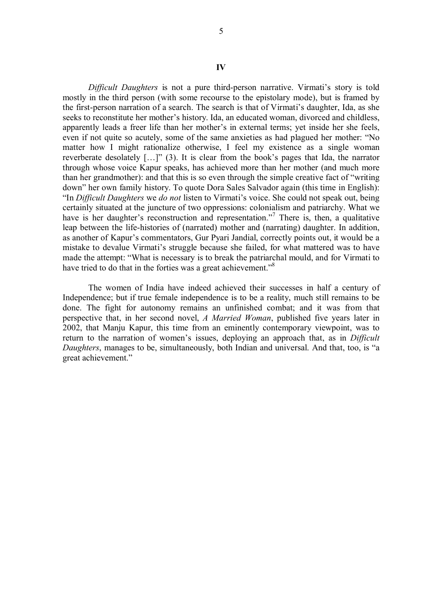*Difficult Daughters* is not a pure third-person narrative. Virmati's story is told mostly in the third person (with some recourse to the epistolary mode), but is framed by the first-person narration of a search. The search is that of Virmati's daughter, Ida, as she seeks to reconstitute her mother's history. Ida, an educated woman, divorced and childless, apparently leads a freer life than her mother's in external terms; yet inside her she feels, even if not quite so acutely, some of the same anxieties as had plagued her mother: "No matter how I might rationalize otherwise, I feel my existence as a single woman reverberate desolately […]" (3). It is clear from the book's pages that Ida, the narrator through whose voice Kapur speaks, has achieved more than her mother (and much more than her grandmother): and that this is so even through the simple creative fact of "writing down" her own family history. To quote Dora Sales Salvador again (this time in English): "In *Difficult Daughters* we *do not* listen to Virmati's voice. She could not speak out, being certainly situated at the juncture of two oppressions: colonialism and patriarchy. What we have is her daughter's reconstruction and representation."<sup>[7](#page-5-6)</sup> There is, then, a qualitative leap between the life-histories of (narrated) mother and (narrating) daughter. In addition, as another of Kapur's commentators, Gur Pyari Jandial, correctly points out, it would be a mistake to devalue Virmati's struggle because she failed, for what mattered was to have made the attempt: "What is necessary is to break the patriarchal mould, and for Virmati to have tried to do that in the forties was a great achievement."<sup>[8](#page-5-7)</sup>

The women of India have indeed achieved their successes in half a century of Independence; but if true female independence is to be a reality, much still remains to be done. The fight for autonomy remains an unfinished combat; and it was from that perspective that, in her second novel, *A Married Woman*, published five years later in 2002, that Manju Kapur, this time from an eminently contemporary viewpoint, was to return to the narration of women's issues, deploying an approach that, as in *Difficult Daughters*, manages to be, simultaneously, both Indian and universal. And that, too, is "a great achievement."